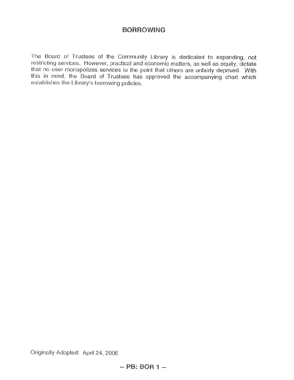## **BORROWING**

The Board of Trustees of the Community Library is dedicated to expanding, not restricting services. However, practical and economic matters, as well as equity, dictate that no user monopolizes services to the point that others are unfairly deprived. With this in mind, the Board of Trustees has approved the accompanying chart which establishes the Library's borrowing policies.

 $\sim$ 

Originally Adopted: April 24, 2006